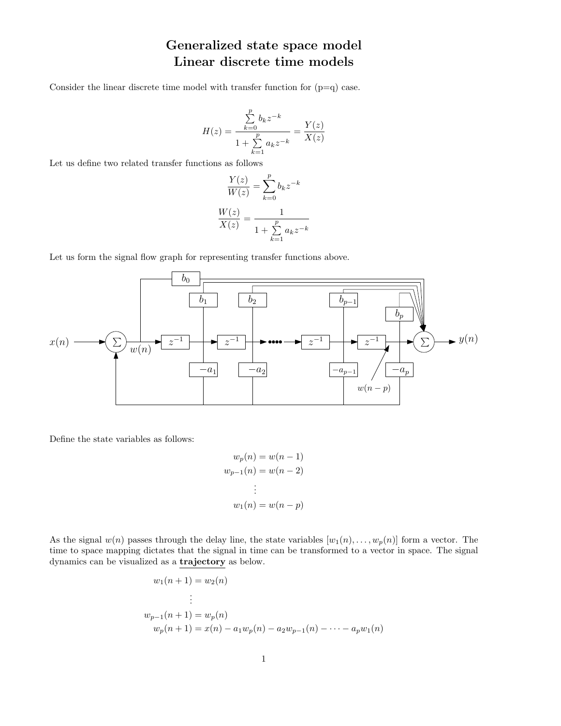## Generalized state space model Linear discrete time models

Consider the linear discrete time model with transfer function for  $(p=q)$  case.

$$
H(z) = \frac{\sum_{k=0}^{p} b_k z^{-k}}{1 + \sum_{k=1}^{p} a_k z^{-k}} = \frac{Y(z)}{X(z)}
$$

Let us define two related transfer functions as follows

$$
\frac{Y(z)}{W(z)} = \sum_{k=0}^{p} b_k z^{-k}
$$

$$
\frac{W(z)}{X(z)} = \frac{1}{1 + \sum_{k=1}^{p} a_k z^{-k}}
$$

Let us form the signal flow graph for representing transfer functions above.



Define the state variables as follows:

$$
w_p(n) = w(n - 1)
$$
  
\n
$$
w_{p-1}(n) = w(n - 2)
$$
  
\n
$$
\vdots
$$
  
\n
$$
w_1(n) = w(n - p)
$$

As the signal  $w(n)$  passes through the delay line, the state variables  $[w_1(n), \ldots, w_p(n)]$  form a vector. The time to space mapping dictates that the signal in time can be transformed to a vector in space. The signal dynamics can be visualized as a trajectory as below.

$$
w_1(n + 1) = w_2(n)
$$
  
\n
$$
\vdots
$$
  
\n
$$
w_{p-1}(n + 1) = w_p(n)
$$
  
\n
$$
w_p(n + 1) = x(n) - a_1w_p(n) - a_2w_{p-1}(n) - \dots - a_pw_1(n)
$$